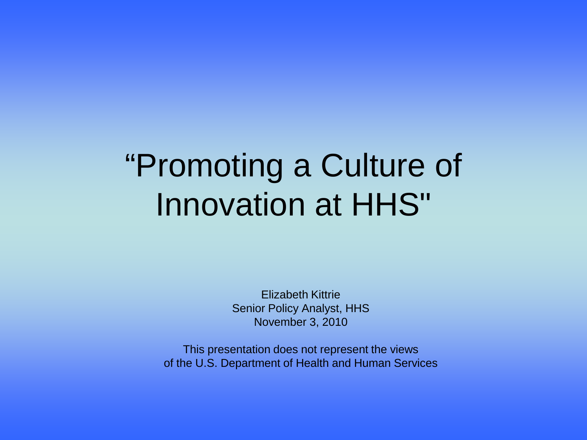# "Promoting a Culture of Innovation at HHS"

Elizabeth Kittrie Senior Policy Analyst, HHS November 3, 2010

This presentation does not represent the views of the U.S. Department of Health and Human Services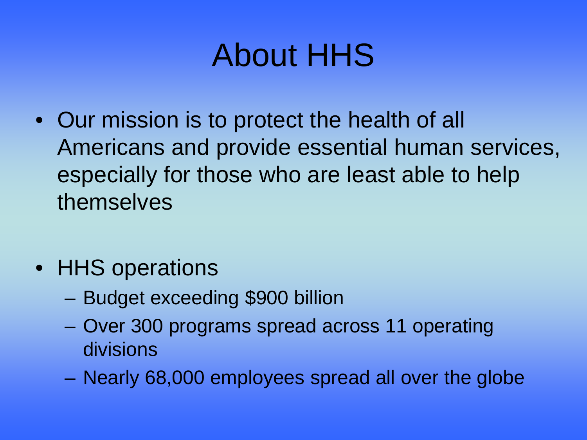# About HHS

- Our mission is to protect the health of all Americans and provide essential human services, especially for those who are least able to help themselves
- **HHS** operations
	- Budget exceeding \$900 billion
	- Over 300 programs spread across 11 operating divisions
	- Nearly 68,000 employees spread all over the globe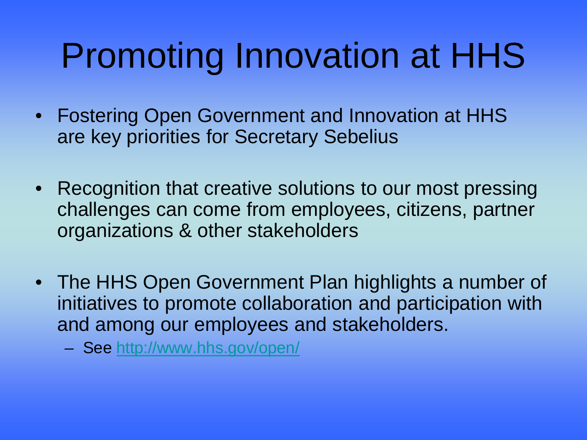# Promoting Innovation at HHS

- Fostering Open Government and Innovation at HHS are key priorities for Secretary Sebelius
- Recognition that creative solutions to our most pressing challenges can come from employees, citizens, partner organizations & other stakeholders
- The HHS Open Government Plan highlights a number of initiatives to promote collaboration and participation with and among our employees and stakeholders.
	- See <http://www.hhs.gov/open/>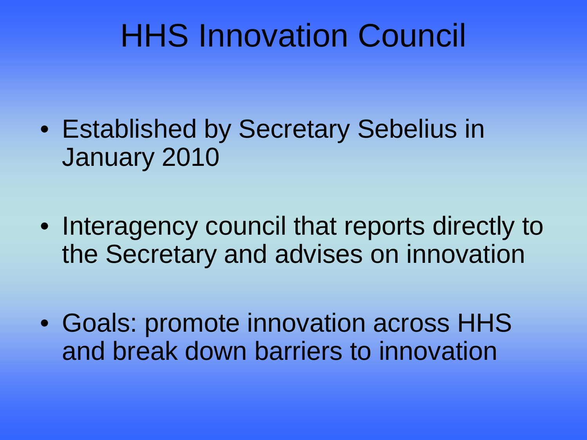# HHS Innovation Council

- Established by Secretary Sebelius in January 2010
- Interagency council that reports directly to the Secretary and advises on innovation
- Goals: promote innovation across HHS and break down barriers to innovation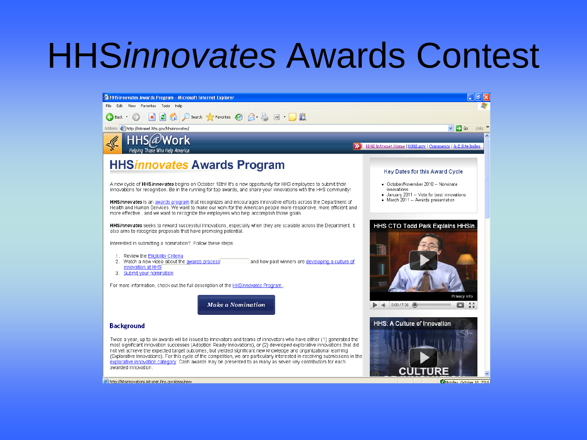# HHS*innovates* Awards Contest

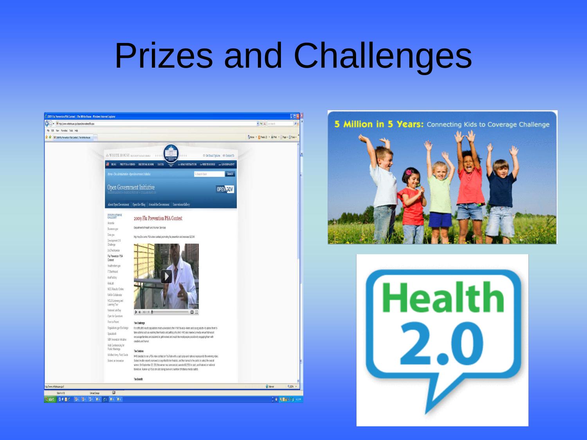# Prizes and Challenges





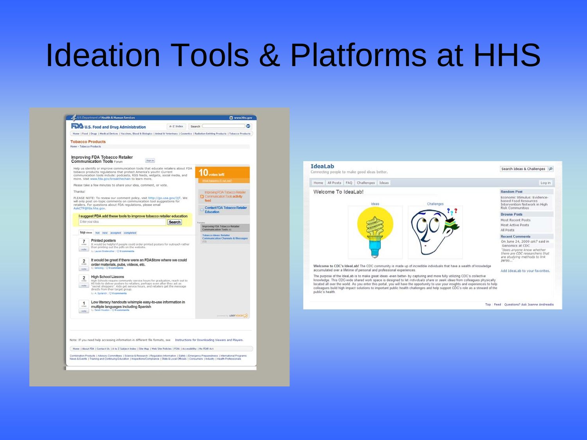### Ideation Tools & Platforms at HHS

|                          | U.S. Department of Health & Human Services                                                                                                                                                                                                                                                     |           |                                                           | Www.hhs.gov                           |
|--------------------------|------------------------------------------------------------------------------------------------------------------------------------------------------------------------------------------------------------------------------------------------------------------------------------------------|-----------|-----------------------------------------------------------|---------------------------------------|
|                          | <b>W.S. Food and Drug Administration</b>                                                                                                                                                                                                                                                       | A-2 Index | Search                                                    | ۰                                     |
|                          | Home   Food   Drugs   Medical Devices   Vaccines, Blood & Biologics   Animal & Veterinary   Cosmetics   Radiation-Emitting Products   Tobacco Products                                                                                                                                         |           |                                                           |                                       |
|                          | <b>Tobacco Products</b>                                                                                                                                                                                                                                                                        |           |                                                           |                                       |
| Home - Tobacco Products  |                                                                                                                                                                                                                                                                                                |           |                                                           |                                       |
|                          | Improving FDA Tobacco Retailer<br><b>Communication Tools Forum</b><br>flign in                                                                                                                                                                                                                 |           |                                                           |                                       |
|                          | Help us identify or improve communication tools that educate retailers about FDA<br>tobacco products regulations that protect America's youth! Current<br>communication tools include: podcasts, RSS feeds, widgets, social media, and<br>more. Visit www.fda.gov/breakthechain to learn more. |           | votes left<br><b>Wait frago entrol to may out?</b>        |                                       |
|                          | Please take a few minutes to share your idea, comment, or vote.                                                                                                                                                                                                                                |           |                                                           |                                       |
| Thanks!                  |                                                                                                                                                                                                                                                                                                |           |                                                           | <b>Improving FDA Tobacco Retailer</b> |
|                          | PLEASE NOTE: To review our comment policy, visit http://go.usa.gov/3jT. We<br>will only post on-topic comments on communication tool suggestions for                                                                                                                                           |           | findid                                                    | Communication Tools activity          |
|                          | retailers. For questions about FDA regulations, please email<br>AskCTP@fda.hhs.gov.                                                                                                                                                                                                            |           | Education                                                 | Contact FDA Tobacco Retailer          |
|                          | I suggest FDA add these tools to improve tobacco retailer education<br>Enter your idea                                                                                                                                                                                                         |           |                                                           |                                       |
|                          |                                                                                                                                                                                                                                                                                                | Search    |                                                           | Improving FDA Tobacco Retailer        |
| top ideas                | hot new accepted completed                                                                                                                                                                                                                                                                     |           | Communication Tools (4)<br><b>Tobacco Ideas: Retailer</b> |                                       |
| 7<br><b>COAS</b><br>vote | Printed posters<br>(131)<br>It would be helpful if people could order printed posters for outreach rather<br>than printing out the pdfs on the website.<br>by Lauren Brebenotter   C) B comments                                                                                               |           |                                                           |                                       |
| $\overline{2}$<br>enters | It would be great if there were an FDAStore where we could<br>order materials, pubs, videos, etc.                                                                                                                                                                                              |           |                                                           |                                       |
| vote                     | by kemodog : @0 comments                                                                                                                                                                                                                                                                       |           |                                                           |                                       |
| $\overline{2}$           | <b>High School Liasons</b>                                                                                                                                                                                                                                                                     |           |                                                           |                                       |
| vote                     | High Schools require community service hours for graduation, reach out to<br>HS kids to deliver posters to retailers, perhaps even after they act as<br>"secret shoppers". Kids get service hours, and retailers get the message<br>directly from their target group.                          |           |                                                           |                                       |
|                          | by A. Spolarich : @ 8 comments                                                                                                                                                                                                                                                                 |           |                                                           |                                       |
| 1                        | Low literacy handouts wisimple easy-to-use information in                                                                                                                                                                                                                                      |           |                                                           |                                       |
| <b>MORA</b>              | multiple languages including Spanish<br>by Sarah Houston / C 0 comments                                                                                                                                                                                                                        |           |                                                           |                                       |
|                          |                                                                                                                                                                                                                                                                                                |           |                                                           | <b>USERVOCES</b>                      |
|                          |                                                                                                                                                                                                                                                                                                |           |                                                           |                                       |
|                          |                                                                                                                                                                                                                                                                                                |           |                                                           |                                       |
|                          | Note: If you need help accessing information in different file formats, see Instructions for Downloading Viewers and Players.                                                                                                                                                                  |           |                                                           |                                       |
|                          | Home   About FDA   Contact Us   A to Z Subject Index   Site Map   Web Site Policies   FDIA   Accessibility   No FEAR Act                                                                                                                                                                       |           |                                                           |                                       |
|                          | Combination Products   Advisory Committees   Science & Research   Regulatory Information   Safety   Emergency Preparedness   Infernational Programs                                                                                                                                            |           |                                                           |                                       |

### **Ideal ab** Search Ideas & Challenges P Connecting people to make good ideas better. Home All Posts FAO Challenges Ideas Login Welcome To IdeaLab! **Random Post** Economic Stimulus: Evidencebased Food Resources<br>Intervention Network in High Ideas Challenges Risk Communities **Browse Posts** Most Recent Posts Most Active Posts All Posts **Recent Comments** On June 24, 2009 czk7 said in Genomics at CDC "Does anyone know whether<br>there are CDC researchers that<br>are studying methods to link neren... Welcome to CDC's IdeaLab! The CDC community is made up of incredible individuals that have a wealth of knowledge accumulated over a lifetime of personal and professional experiences. Add Ideal ab to your favorites. The purpose of the IdeaLab is to make great ideas -even better- by capturing and more fully utilizing CDC's collective knowledge. This CDC-wide shared work space is designed to let individuals share or seek ideas from colleagues physically<br>located all over the world. As you enter this portal, you will have the apportunity to use your misgh public's health Top | Feed | Questions? Ask Joanne Andreadis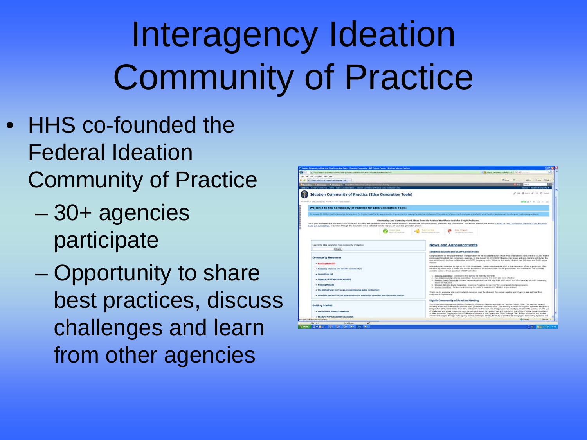# Interagency Ideation Community of Practice

- HHS co-founded the Federal Ideation Community of Practice
	- 30+ agencies participate
	- Opportunity to share best practices, discuss challenges and learn from other agencies

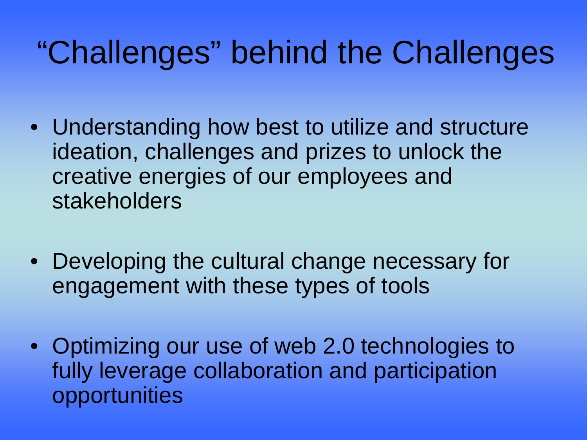# "Challenges" behind the Challenges

- Understanding how best to utilize and structure ideation, challenges and prizes to unlock the creative energies of our employees and stakeholders
- Developing the cultural change necessary for engagement with these types of tools
- Optimizing our use of web 2.0 technologies to fully leverage collaboration and participation opportunities